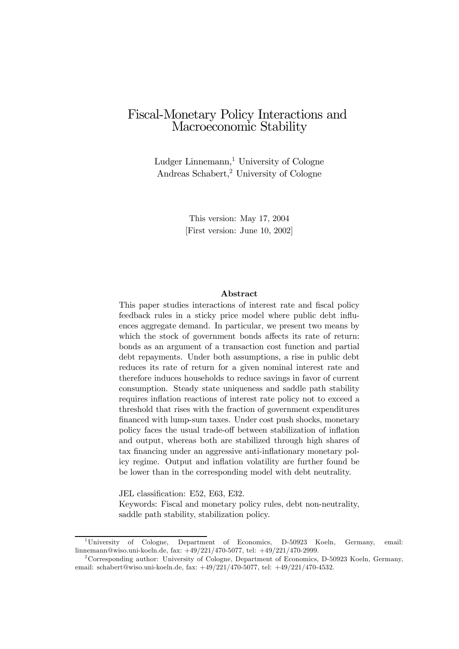# Fiscal-Monetary Policy Interactions and Macroeconomic Stability

Ludger Linnemann, $<sup>1</sup>$  University of Cologne</sup> Andreas Schabert,2 University of Cologne

> This version: May 17, 2004 [First version: June 10, 2002]

#### Abstract

This paper studies interactions of interest rate and fiscal policy feedback rules in a sticky price model where public debt influences aggregate demand. In particular, we present two means by which the stock of government bonds affects its rate of return: bonds as an argument of a transaction cost function and partial debt repayments. Under both assumptions, a rise in public debt reduces its rate of return for a given nominal interest rate and therefore induces households to reduce savings in favor of current consumption. Steady state uniqueness and saddle path stability requires inflation reactions of interest rate policy not to exceed a threshold that rises with the fraction of government expenditures financed with lump-sum taxes. Under cost push shocks, monetary policy faces the usual trade-off between stabilization of inflation and output, whereas both are stabilized through high shares of tax financing under an aggressive anti-inflationary monetary policy regime. Output and inflation volatility are further found be be lower than in the corresponding model with debt neutrality.

JEL classification: E52, E63, E32.

Keywords: Fiscal and monetary policy rules, debt non-neutrality, saddle path stability, stabilization policy.

<sup>1</sup>University of Cologne, Department of Economics, D-50923 Koeln, Germany, email: linnemann@wiso.uni-koeln.de, fax: +49/221/470-5077, tel: +49/221/470-2999.

<sup>&</sup>lt;sup>2</sup>Corresponding author: University of Cologne, Department of Economics, D-50923 Koeln, Germany, email: schabert@wiso.uni-koeln.de, fax: +49/221/470-5077, tel: +49/221/470-4532.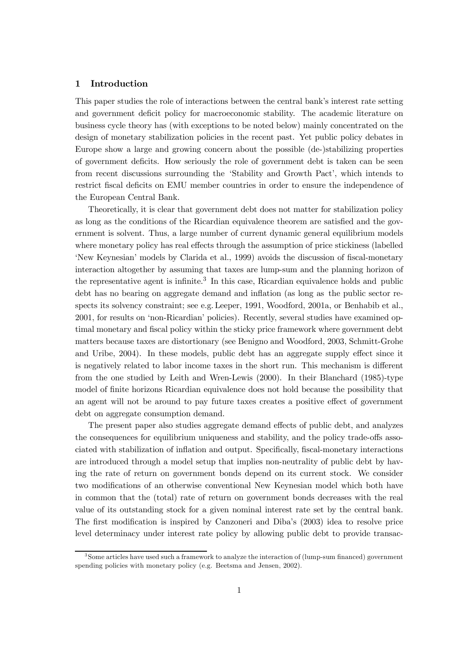## 1 Introduction

This paper studies the role of interactions between the central bank's interest rate setting and government deficit policy for macroeconomic stability. The academic literature on business cycle theory has (with exceptions to be noted below) mainly concentrated on the design of monetary stabilization policies in the recent past. Yet public policy debates in Europe show a large and growing concern about the possible (de-)stabilizing properties of government deficits. How seriously the role of government debt is taken can be seen from recent discussions surrounding the 'Stability and Growth Pact', which intends to restrict fiscal deficits on EMU member countries in order to ensure the independence of the European Central Bank.

Theoretically, it is clear that government debt does not matter for stabilization policy as long as the conditions of the Ricardian equivalence theorem are satisfied and the government is solvent. Thus, a large number of current dynamic general equilibrium models where monetary policy has real effects through the assumption of price stickiness (labelled 'New Keynesian' models by Clarida et al., 1999) avoids the discussion of fiscal-monetary interaction altogether by assuming that taxes are lump-sum and the planning horizon of the representative agent is infinite.<sup>3</sup> In this case, Ricardian equivalence holds and public debt has no bearing on aggregate demand and inflation (as long as the public sector respects its solvency constraint; see e.g. Leeper, 1991, Woodford, 2001a, or Benhabib et al., 2001, for results on 'non-Ricardian' policies). Recently, several studies have examined optimal monetary and fiscal policy within the sticky price framework where government debt matters because taxes are distortionary (see Benigno and Woodford, 2003, Schmitt-Grohe and Uribe, 2004). In these models, public debt has an aggregate supply effect since it is negatively related to labor income taxes in the short run. This mechanism is different from the one studied by Leith and Wren-Lewis (2000). In their Blanchard (1985)-type model of finite horizons Ricardian equivalence does not hold because the possibility that an agent will not be around to pay future taxes creates a positive effect of government debt on aggregate consumption demand.

The present paper also studies aggregate demand effects of public debt, and analyzes the consequences for equilibrium uniqueness and stability, and the policy trade-offs associated with stabilization of inflation and output. Specifically, fiscal-monetary interactions are introduced through a model setup that implies non-neutrality of public debt by having the rate of return on government bonds depend on its current stock. We consider two modifications of an otherwise conventional New Keynesian model which both have in common that the (total) rate of return on government bonds decreases with the real value of its outstanding stock for a given nominal interest rate set by the central bank. The first modification is inspired by Canzoneri and Diba's (2003) idea to resolve price level determinacy under interest rate policy by allowing public debt to provide transac-

<sup>&</sup>lt;sup>3</sup>Some articles have used such a framework to analyze the interaction of (lump-sum financed) government spending policies with monetary policy (e.g. Beetsma and Jensen, 2002).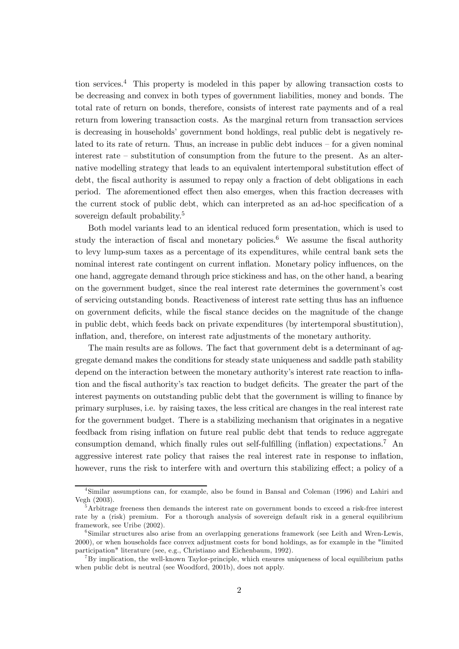tion services.<sup>4</sup> This property is modeled in this paper by allowing transaction costs to be decreasing and convex in both types of government liabilities, money and bonds. The total rate of return on bonds, therefore, consists of interest rate payments and of a real return from lowering transaction costs. As the marginal return from transaction services is decreasing in households' government bond holdings, real public debt is negatively related to its rate of return. Thus, an increase in public debt induces — for a given nominal interest rate — substitution of consumption from the future to the present. As an alternative modelling strategy that leads to an equivalent intertemporal substitution effect of debt, the fiscal authority is assumed to repay only a fraction of debt obligations in each period. The aforementioned effect then also emerges, when this fraction decreases with the current stock of public debt, which can interpreted as an ad-hoc specification of a sovereign default probability.<sup>5</sup>

Both model variants lead to an identical reduced form presentation, which is used to study the interaction of fiscal and monetary policies.<sup>6</sup> We assume the fiscal authority to levy lump-sum taxes as a percentage of its expenditures, while central bank sets the nominal interest rate contingent on current inflation. Monetary policy influences, on the one hand, aggregate demand through price stickiness and has, on the other hand, a bearing on the government budget, since the real interest rate determines the government's cost of servicing outstanding bonds. Reactiveness of interest rate setting thus has an influence on government deficits, while the fiscal stance decides on the magnitude of the change in public debt, which feeds back on private expenditures (by intertemporal sbustitution), inflation, and, therefore, on interest rate adjustments of the monetary authority.

The main results are as follows. The fact that government debt is a determinant of aggregate demand makes the conditions for steady state uniqueness and saddle path stability depend on the interaction between the monetary authority's interest rate reaction to inflation and the fiscal authority's tax reaction to budget deficits. The greater the part of the interest payments on outstanding public debt that the government is willing to finance by primary surpluses, i.e. by raising taxes, the less critical are changes in the real interest rate for the government budget. There is a stabilizing mechanism that originates in a negative feedback from rising inflation on future real public debt that tends to reduce aggregate consumption demand, which finally rules out self-fulfilling (inflation) expectations.<sup>7</sup> An aggressive interest rate policy that raises the real interest rate in response to inflation, however, runs the risk to interfere with and overturn this stabilizing effect; a policy of a

<sup>4</sup>Similar assumptions can, for example, also be found in Bansal and Coleman (1996) and Lahiri and Vegh (2003).

<sup>&</sup>lt;sup>5</sup>Arbitrage freeness then demands the interest rate on government bonds to exceed a risk-free interest rate by a (risk) premium. For a thorough analysis of sovereign default risk in a general equilibrium framework, see Uribe (2002).

 $6$ Similar structures also arise from an overlapping generations framework (see Leith and Wren-Lewis, 2000), or when households face convex adjustment costs for bond holdings, as for example in the "limited participation" literature (see, e.g., Christiano and Eichenbaum, 1992).

 $^{7}$ By implication, the well-known Taylor-principle, which ensures uniqueness of local equilibrium paths when public debt is neutral (see Woodford, 2001b), does not apply.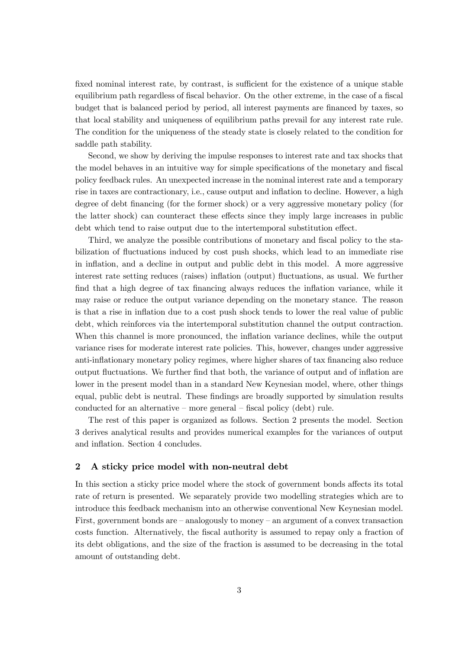fixed nominal interest rate, by contrast, is sufficient for the existence of a unique stable equilibrium path regardless of fiscal behavior. On the other extreme, in the case of a fiscal budget that is balanced period by period, all interest payments are financed by taxes, so that local stability and uniqueness of equilibrium paths prevail for any interest rate rule. The condition for the uniqueness of the steady state is closely related to the condition for saddle path stability.

Second, we show by deriving the impulse responses to interest rate and tax shocks that the model behaves in an intuitive way for simple specifications of the monetary and fiscal policy feedback rules. An unexpected increase in the nominal interest rate and a temporary rise in taxes are contractionary, i.e., cause output and inflation to decline. However, a high degree of debt financing (for the former shock) or a very aggressive monetary policy (for the latter shock) can counteract these effects since they imply large increases in public debt which tend to raise output due to the intertemporal substitution effect.

Third, we analyze the possible contributions of monetary and fiscal policy to the stabilization of fluctuations induced by cost push shocks, which lead to an immediate rise in inflation, and a decline in output and public debt in this model. A more aggressive interest rate setting reduces (raises) inflation (output) fluctuations, as usual. We further find that a high degree of tax financing always reduces the inflation variance, while it may raise or reduce the output variance depending on the monetary stance. The reason is that a rise in inflation due to a cost push shock tends to lower the real value of public debt, which reinforces via the intertemporal substitution channel the output contraction. When this channel is more pronounced, the inflation variance declines, while the output variance rises for moderate interest rate policies. This, however, changes under aggressive anti-inflationary monetary policy regimes, where higher shares of tax financing also reduce output fluctuations. We further find that both, the variance of output and of inflation are lower in the present model than in a standard New Keynesian model, where, other things equal, public debt is neutral. These findings are broadly supported by simulation results conducted for an alternative — more general — fiscal policy (debt) rule.

The rest of this paper is organized as follows. Section 2 presents the model. Section 3 derives analytical results and provides numerical examples for the variances of output and inflation. Section 4 concludes.

## 2 A sticky price model with non-neutral debt

In this section a sticky price model where the stock of government bonds affects its total rate of return is presented. We separately provide two modelling strategies which are to introduce this feedback mechanism into an otherwise conventional New Keynesian model. First, government bonds are — analogously to money — an argument of a convex transaction costs function. Alternatively, the fiscal authority is assumed to repay only a fraction of its debt obligations, and the size of the fraction is assumed to be decreasing in the total amount of outstanding debt.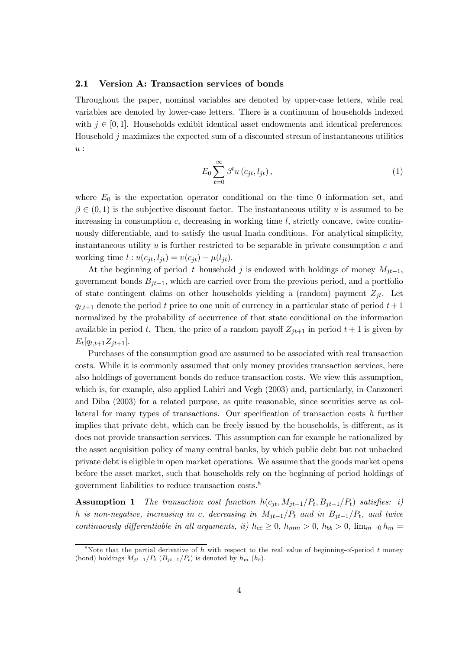#### 2.1 Version A: Transaction services of bonds

Throughout the paper, nominal variables are denoted by upper-case letters, while real variables are denoted by lower-case letters. There is a continuum of households indexed with  $j \in [0, 1]$ . Households exhibit identical asset endowments and identical preferences. Household  $j$  maximizes the expected sum of a discounted stream of instantaneous utilities u :

$$
E_0 \sum_{t=0}^{\infty} \beta^t u\left(c_{jt}, l_{jt}\right),\tag{1}
$$

where  $E_0$  is the expectation operator conditional on the time 0 information set, and  $\beta \in (0,1)$  is the subjective discount factor. The instantaneous utility u is assumed to be increasing in consumption  $c$ , decreasing in working time  $l$ , strictly concave, twice continuously differentiable, and to satisfy the usual Inada conditions. For analytical simplicity, instantaneous utility  $u$  is further restricted to be separable in private consumption  $c$  and working time  $l : u(c_{it}, l_{it}) = v(c_{it}) - \mu(l_{it}).$ 

At the beginning of period t household j is endowed with holdings of money  $M_{it-1}$ , government bonds  $B_{jt-1}$ , which are carried over from the previous period, and a portfolio of state contingent claims on other households yielding a (random) payment  $Z_{jt}$ . Let  $q_{t,t+1}$  denote the period t price to one unit of currency in a particular state of period  $t+1$ normalized by the probability of occurrence of that state conditional on the information available in period t. Then, the price of a random payoff  $Z_{jt+1}$  in period  $t+1$  is given by  $E_t[q_{t,t+1}Z_{jt+1}].$ 

Purchases of the consumption good are assumed to be associated with real transaction costs. While it is commonly assumed that only money provides transaction services, here also holdings of government bonds do reduce transaction costs. We view this assumption, which is, for example, also applied Lahiri and Vegh (2003) and, particularly, in Canzoneri and Diba (2003) for a related purpose, as quite reasonable, since securities serve as collateral for many types of transactions. Our specification of transaction costs h further implies that private debt, which can be freely issued by the households, is different, as it does not provide transaction services. This assumption can for example be rationalized by the asset acquisition policy of many central banks, by which public debt but not unbacked private debt is eligible in open market operations. We assume that the goods market opens before the asset market, such that households rely on the beginning of period holdings of government liabilities to reduce transaction costs.8

**Assumption 1** The transaction cost function  $h(c_{it}, M_{it-1}/P_t, B_{it-1}/P_t)$  satisfies: i) h is non-negative, increasing in c, decreasing in  $M_{jt-1}/P_t$  and in  $B_{jt-1}/P_t$ , and twice continuously differentiable in all arguments, ii)  $h_{cc} \geq 0$ ,  $h_{mm} > 0$ ,  $h_{bb} > 0$ ,  $\lim_{m\to 0} h_m =$ 

<sup>&</sup>lt;sup>8</sup>Note that the partial derivative of h with respect to the real value of beginning-of-period t money (bond) holdings  $M_{jt-1}/P_t$  ( $B_{jt-1}/P_t$ ) is denoted by  $h_m$  ( $h_b$ ).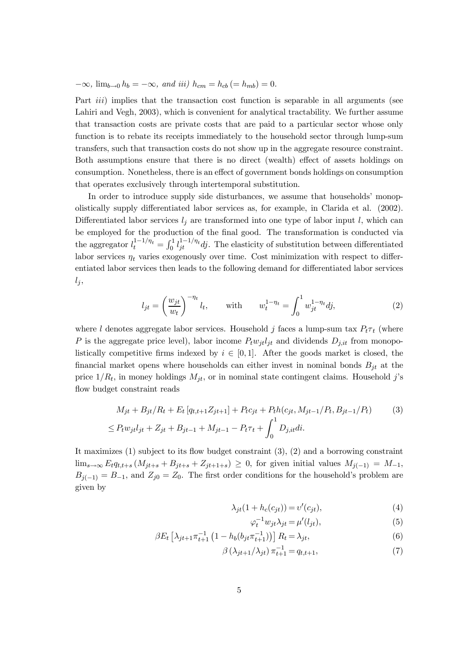$-\infty$ ,  $\lim_{b\to 0} h_b = -\infty$ , and iii)  $h_{cm} = h_{cb} (= h_{mb}) = 0$ .

Part *iii*) implies that the transaction cost function is separable in all arguments (see Lahiri and Vegh, 2003), which is convenient for analytical tractability. We further assume that transaction costs are private costs that are paid to a particular sector whose only function is to rebate its receipts immediately to the household sector through lump-sum transfers, such that transaction costs do not show up in the aggregate resource constraint. Both assumptions ensure that there is no direct (wealth) effect of assets holdings on consumption. Nonetheless, there is an effect of government bonds holdings on consumption that operates exclusively through intertemporal substitution.

In order to introduce supply side disturbances, we assume that households' monopolistically supply differentiated labor services as, for example, in Clarida et al. (2002). Differentiated labor services  $l_i$  are transformed into one type of labor input l, which can be employed for the production of the final good. The transformation is conducted via the aggregator  $l_t^{1-1/\eta_t} = \int_0^1 l_{jt}^{1-1/\eta_t} dj$ . The elasticity of substitution between differentiated labor services  $\eta_t$  varies exogenously over time. Cost minimization with respect to differentiated labor services then leads to the following demand for differentiated labor services  $l_j$ ,

$$
l_{jt} = \left(\frac{w_{jt}}{w_t}\right)^{-\eta_t} l_t, \quad \text{with} \quad w_t^{1-\eta_t} = \int_0^1 w_{jt}^{1-\eta_t} dj, \tag{2}
$$

where l denotes aggregate labor services. Household j faces a lump-sum tax  $P_t\tau_t$  (where P is the aggregate price level), labor income  $P_t w_{it} l_{it}$  and dividends  $D_{i,it}$  from monopolistically competitive firms indexed by  $i \in [0,1]$ . After the goods market is closed, the financial market opens where households can either invest in nominal bonds  $B_{jt}$  at the price  $1/R_t$ , in money holdings  $M_{jt}$ , or in nominal state contingent claims. Household j's flow budget constraint reads

$$
M_{jt} + B_{jt}/R_t + E_t [q_{t,t+1}Z_{jt+1}] + P_t c_{jt} + P_t h(c_{jt}, M_{jt-1}/P_t, B_{jt-1}/P_t)
$$
(3)  

$$
\leq P_t w_{jt} l_{jt} + Z_{jt} + B_{jt-1} + M_{jt-1} - P_t \tau_t + \int_0^1 D_{j, it} di.
$$

It maximizes (1) subject to its flow budget constraint (3), (2) and a borrowing constraint  $\lim_{s\to\infty} E_t q_{t,t+s} (M_{jt+s} + B_{jt+s} + Z_{jt+1+s}) \geq 0$ , for given initial values  $M_{j(-1)} = M_{-1}$ ,  $B_{j(-1)} = B_{-1}$ , and  $Z_{j0} = Z_0$ . The first order conditions for the household's problem are given by

$$
\lambda_{jt}(1 + h_c(c_{jt})) = v'(c_{jt}),\tag{4}
$$

$$
\varphi_t^{-1} w_{jt} \lambda_{jt} = \mu'(l_{jt}),\tag{5}
$$

$$
\beta E_t \left[ \lambda_{jt+1} \pi_{t+1}^{-1} \left( 1 - h_b(b_{jt} \pi_{t+1}^{-1}) \right) \right] R_t = \lambda_{jt}, \tag{6}
$$

$$
\beta\left(\lambda_{jt+1}/\lambda_{jt}\right)\pi_{t+1}^{-1} = q_{t,t+1},\tag{7}
$$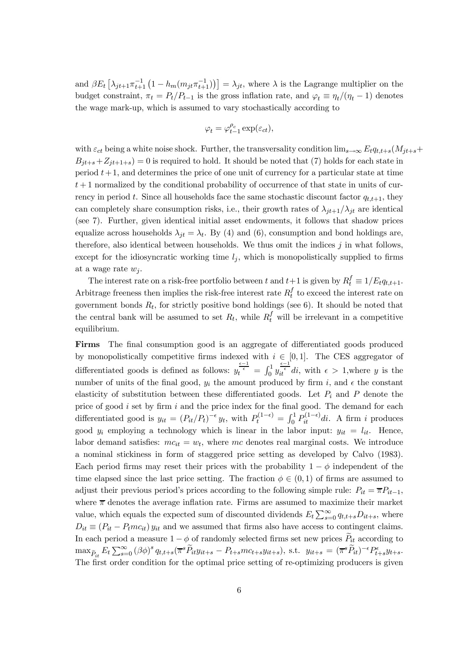and  $\beta E_t \left[ \lambda_{jt+1} \pi_{t+1}^{-1} \left( 1 - h_m(m_{jt} \pi_{t+1}^{-1}) \right) \right] = \lambda_{jt}$ , where  $\lambda$  is the Lagrange multiplier on the budget constraint,  $\pi_t = P_t/P_{t-1}$  is the gross inflation rate, and  $\varphi_t \equiv \eta_t/(\eta_t - 1)$  denotes the wage mark-up, which is assumed to vary stochastically according to

$$
\varphi_t = \varphi_{t-1}^{\rho_c} \exp(\varepsilon_{ct}),
$$

with  $\varepsilon_{ct}$  being a white noise shock. Further, the transversality condition  $\lim_{s\to\infty} E_t q_{t,t+s}(M_{jt+s}+$  $B_{jt+s}+Z_{jt+1+s}=0$  is required to hold. It should be noted that (7) holds for each state in period  $t+1$ , and determines the price of one unit of currency for a particular state at time  $t+1$  normalized by the conditional probability of occurrence of that state in units of currency in period t. Since all households face the same stochastic discount factor  $q_{t,t+1}$ , they can completely share consumption risks, i.e., their growth rates of  $\lambda_{jt+1}/\lambda_{jt}$  are identical (see 7). Further, given identical initial asset endowments, it follows that shadow prices equalize across households  $\lambda_{jt} = \lambda_t$ . By (4) and (6), consumption and bond holdings are, therefore, also identical between households. We thus omit the indices  $j$  in what follows, except for the idiosyncratic working time  $l_i$ , which is monopolistically supplied to firms at a wage rate  $w_i$ .

The interest rate on a risk-free portfolio between t and  $t+1$  is given by  $R_t^f \equiv 1/E_t q_{t,t+1}$ . Arbitrage freeness then implies the risk-free interest rate  $R_t^f$  to exceed the interest rate on government bonds  $R_t$ , for strictly positive bond holdings (see 6). It should be noted that the central bank will be assumed to set  $R_t$ , while  $R_t^f$  will be irrelevant in a competitive equilibrium.

Firms The final consumption good is an aggregate of differentiated goods produced by monopolistically competitive firms indexed with  $i \in [0, 1]$ . The CES aggregator of differentiated goods is defined as follows:  $y_t^{\epsilon-1} = \int_0^1 y_{tt}^{\epsilon-1} dt$ , with  $\epsilon > 1$ , where y is the number of units of the final good,  $y_i$  the amount produced by firm i, and  $\epsilon$  the constant elasticity of substitution between these differentiated goods. Let  $P_i$  and P denote the price of good  $i$  set by firm  $i$  and the price index for the final good. The demand for each differentiated good is  $y_{it} = (P_{it}/P_t)^{-\epsilon} y_t$ , with  $P_t^{(1-\epsilon)} = \int_0^1 P_{it}^{(1-\epsilon)} dt$ . A firm i produces good  $y_i$  employing a technology which is linear in the labor input:  $y_{it} = l_{it}$ . Hence, labor demand satisfies:  $mc_{it} = w_t$ , where mc denotes real marginal costs. We introduce a nominal stickiness in form of staggered price setting as developed by Calvo (1983). Each period firms may reset their prices with the probability  $1 - \phi$  independent of the time elapsed since the last price setting. The fraction  $\phi \in (0,1)$  of firms are assumed to adjust their previous period's prices according to the following simple rule:  $P_{it} = \overline{\pi}P_{it-1}$ , where  $\bar{\pi}$  denotes the average inflation rate. Firms are assumed to maximize their market value, which equals the expected sum of discounted dividends  $E_t \sum_{s=0}^{\infty} q_{t,t+s} D_{it+s}$ , where  $D_{it} \equiv (P_{it} - P_{t}mc_{it}) y_{it}$  and we assumed that firms also have access to contingent claims. In each period a measure  $1 - \phi$  of randomly selected firms set new prices  $P_{it}$  according to  $\max_{\widetilde{P}_{it}} E_t \sum_{s=0}^{\infty} (\beta \phi)^s q_{t,t+s} (\overline{\pi}^s \widetilde{P}_{it} y_{it+s} - P_{t+s} m c_{t+s} y_{it+s}), \text{ s.t. } y_{it+s} = (\overline{\pi}^s \widetilde{P}_{it})^{-\epsilon} P_{t+s}^{\epsilon} y_{t+s}.$ The first order condition for the optimal price setting of re-optimizing producers is given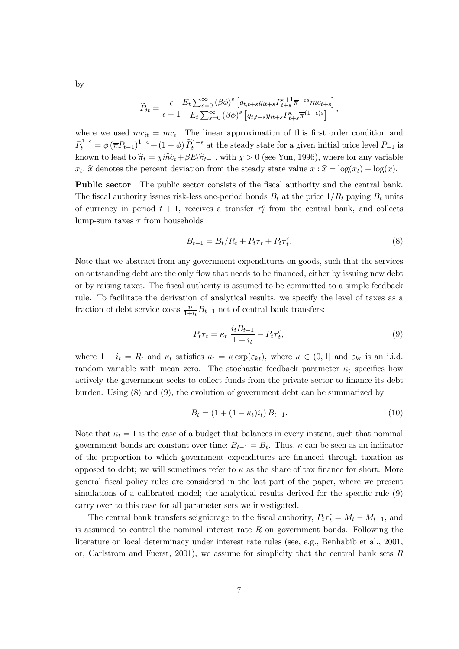by

$$
\widetilde{P}_{it} = \frac{\epsilon}{\epsilon - 1} \frac{E_t \sum_{s=0}^{\infty} (\beta \phi)^s \left[ q_{t,t+s} y_{it+s} P_{t+s}^{\epsilon+1} \overline{\pi}^{-\epsilon s} m c_{t+s} \right]}{E_t \sum_{s=0}^{\infty} (\beta \phi)^s \left[ q_{t,t+s} y_{it+s} P_{t+s}^{\epsilon} \overline{\pi}^{(1-\epsilon)s} \right]},
$$

where we used  $mc_{it} = mc_t$ . The linear approximation of this first order condition and  $P_t^{1-\epsilon} = \phi(\overline{\pi}P_{t-1})^{1-\epsilon} + (1-\phi)\widetilde{P}_t^{1-\epsilon}$  at the steady state for a given initial price level  $P_{-1}$  is known to lead to  $\hat{\pi}_t = \chi \hat{m}c_t + \beta E_t \hat{\pi}_{t+1}$ , with  $\chi > 0$  (see Yun, 1996), where for any variable  $x_t$ ,  $\hat{x}$  denotes the percent deviation from the steady state value  $x : \hat{x} = \log(x_t) - \log(x)$ .

Public sector The public sector consists of the fiscal authority and the central bank. The fiscal authority issues risk-less one-period bonds  $B_t$  at the price  $1/R_t$  paying  $B_t$  units of currency in period  $t + 1$ , receives a transfer  $\tau_t^c$  from the central bank, and collects lump-sum taxes  $\tau$  from households

$$
B_{t-1} = B_t/R_t + P_t \tau_t + P_t \tau_t^c. \tag{8}
$$

Note that we abstract from any government expenditures on goods, such that the services on outstanding debt are the only flow that needs to be financed, either by issuing new debt or by raising taxes. The fiscal authority is assumed to be committed to a simple feedback rule. To facilitate the derivation of analytical results, we specify the level of taxes as a fraction of debt service costs  $\frac{i_t}{1+i_t}B_{t-1}$  net of central bank transfers:

$$
P_t \tau_t = \kappa_t \frac{i_t B_{t-1}}{1 + i_t} - P_t \tau_t^c,\tag{9}
$$

where  $1 + i_t = R_t$  and  $\kappa_t$  satisfies  $\kappa_t = \kappa \exp(\varepsilon_{kt})$ , where  $\kappa \in (0, 1]$  and  $\varepsilon_{kt}$  is an i.i.d. random variable with mean zero. The stochastic feedback parameter  $\kappa_t$  specifies how actively the government seeks to collect funds from the private sector to finance its debt burden. Using (8) and (9), the evolution of government debt can be summarized by

$$
B_t = (1 + (1 - \kappa_t)i_t) B_{t-1}.
$$
\n(10)

Note that  $\kappa_t = 1$  is the case of a budget that balances in every instant, such that nominal government bonds are constant over time:  $B_{t-1} = B_t$ . Thus,  $\kappa$  can be seen as an indicator of the proportion to which government expenditures are financed through taxation as opposed to debt; we will sometimes refer to  $\kappa$  as the share of tax finance for short. More general fiscal policy rules are considered in the last part of the paper, where we present simulations of a calibrated model; the analytical results derived for the specific rule (9) carry over to this case for all parameter sets we investigated.

The central bank transfers seigniorage to the fiscal authority,  $P_t \tau_t^c = M_t - M_{t-1}$ , and is assumed to control the nominal interest rate  $R$  on government bonds. Following the literature on local determinacy under interest rate rules (see, e.g., Benhabib et al., 2001, or, Carlstrom and Fuerst,  $2001$ ), we assume for simplicity that the central bank sets  $R$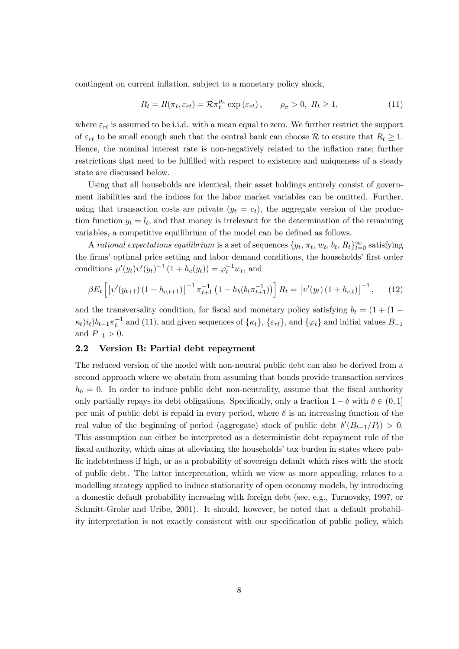contingent on current inflation, subject to a monetary policy shock,

$$
R_t = R(\pi_t, \varepsilon_{rt}) = \mathcal{R}\pi_t^{\rho_\pi} \exp\left(\varepsilon_{rt}\right), \qquad \rho_\pi > 0, \ R_t \ge 1,
$$
\n(11)

where  $\varepsilon_{rt}$  is assumed to be i.i.d. with a mean equal to zero. We further restrict the support of  $\varepsilon_{rt}$  to be small enough such that the central bank can choose  $\mathcal R$  to ensure that  $R_t \geq 1$ . Hence, the nominal interest rate is non-negatively related to the inflation rate; further restrictions that need to be fulfilled with respect to existence and uniqueness of a steady state are discussed below.

Using that all households are identical, their asset holdings entirely consist of government liabilities and the indices for the labor market variables can be omitted. Further, using that transaction costs are private  $(y_t = c_t)$ , the aggregate version of the production function  $y_t = l_t$ , and that money is irrelevant for the determination of the remaining variables, a competitive equilibrium of the model can be defined as follows.

A rational expectations equilibrium is a set of sequences  $\{y_t, \pi_t, w_t, b_t, R_t\}_{t=0}^{\infty}$  satisfying the firms' optimal price setting and labor demand conditions, the households' first order conditions  $\mu'(y_t)v'(y_t)^{-1}(1 + h_c(y_t)) = \varphi_t^{-1}w_t$ , and

$$
\beta E_t \left[ \left[ \nu'(y_{t+1}) \left( 1 + h_{c,t+1} \right) \right]^{-1} \pi_{t+1}^{-1} \left( 1 - h_b(b_t \pi_{t+1}^{-1}) \right) \right] R_t = \left[ \nu'(y_t) \left( 1 + h_{c,t} \right) \right]^{-1}, \tag{12}
$$

and the transversality condition, for fiscal and monetary policy satisfying  $b_t = (1 + (1 (\kappa_t)i_t$ ) $b_{t-1}\pi_t^{-1}$  and (11), and given sequences of  $\{\kappa_t\}$ ,  $\{\varepsilon_{rt}\}$ , and  $\{\varphi_t\}$  and initial values  $B_{-1}$ and  $P_{-1} > 0$ .

## 2.2 Version B: Partial debt repayment

The reduced version of the model with non-neutral public debt can also be derived from a second approach where we abstain from assuming that bonds provide transaction services  $h_b = 0$ . In order to induce public debt non-neutrality, assume that the fiscal authority only partially repays its debt obligations. Specifically, only a fraction  $1 - \delta$  with  $\delta \in (0, 1]$ per unit of public debt is repaid in every period, where  $\delta$  is an increasing function of the real value of the beginning of period (aggregate) stock of public debt  $\delta'(B_{t-1}/P_t) > 0$ . This assumption can either be interpreted as a deterministic debt repayment rule of the fiscal authority, which aims at alleviating the households' tax burden in states where public indebtedness if high, or as a probability of sovereign default which rises with the stock of public debt. The latter interpretation, which we view as more appealing, relates to a modelling strategy applied to induce stationarity of open economy models, by introducing a domestic default probability increasing with foreign debt (see, e.g., Turnovsky, 1997, or Schmitt-Grohe and Uribe, 2001). It should, however, be noted that a default probability interpretation is not exactly consistent with our specification of public policy, which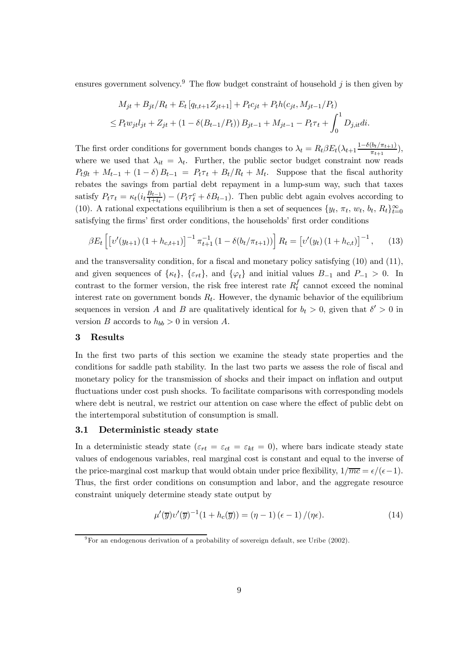ensures government solvency.<sup>9</sup> The flow budget constraint of household j is then given by

$$
M_{jt} + B_{jt}/R_t + E_t [q_{t,t+1} Z_{jt+1}] + P_t c_{jt} + P_t h(c_{jt}, M_{jt-1}/P_t)
$$
  
\n
$$
\leq P_t w_{jt} l_{jt} + Z_{jt} + (1 - \delta(B_{t-1}/P_t)) B_{jt-1} + M_{jt-1} - P_t \tau_t + \int_0^1 D_{j, it} di.
$$

The first order conditions for government bonds changes to  $\lambda_t = R_t \beta E_t (\lambda_{t+1} \frac{1-\delta(b_t/\pi_{t+1})}{\pi_{t+1}})$ , where we used that  $\lambda_{it} = \lambda_t$ . Further, the public sector budget constraint now reads  $P_t g_t + M_{t-1} + (1 - \delta) B_{t-1} = P_t \tau_t + B_t / R_t + M_t$ . Suppose that the fiscal authority rebates the savings from partial debt repayment in a lump-sum way, such that taxes satisfy  $P_t \tau_t = \kappa_t (i_t \frac{B_{t-1}}{1+i_t}) - (P_t \tau_t^c + \delta B_{t-1})$ . Then public debt again evolves according to (10). A rational expectations equilibrium is then a set of sequences  $\{y_t, \pi_t, w_t, b_t, R_t\}_{t=0}^{\infty}$ satisfying the firms' first order conditions, the households' first order conditions

$$
\beta E_t \left[ \left[ v'(y_{t+1}) \left( 1 + h_{c,t+1} \right) \right]^{-1} \pi_{t+1}^{-1} \left( 1 - \delta(b_t/\pi_{t+1}) \right) \right] R_t = \left[ v'(y_t) \left( 1 + h_{c,t} \right) \right]^{-1}, \tag{13}
$$

and the transversality condition, for a fiscal and monetary policy satisfying (10) and (11), and given sequences of  $\{\kappa_t\}$ ,  $\{\varepsilon_{rt}\}$ , and  $\{\varphi_t\}$  and initial values  $B_{-1}$  and  $P_{-1} > 0$ . In contrast to the former version, the risk free interest rate  $R_t^f$  cannot exceed the nominal interest rate on government bonds  $R_t$ . However, the dynamic behavior of the equilibrium sequences in version A and B are qualitatively identical for  $b_t > 0$ , given that  $\delta' > 0$  in version B accords to  $h_{bb} > 0$  in version A.

#### 3 Results

In the first two parts of this section we examine the steady state properties and the conditions for saddle path stability. In the last two parts we assess the role of fiscal and monetary policy for the transmission of shocks and their impact on inflation and output fluctuations under cost push shocks. To facilitate comparisons with corresponding models where debt is neutral, we restrict our attention on case where the effect of public debt on the intertemporal substitution of consumption is small.

#### 3.1 Deterministic steady state

In a deterministic steady state ( $\varepsilon_{rt} = \varepsilon_{ct} = \varepsilon_{kt} = 0$ ), where bars indicate steady state values of endogenous variables, real marginal cost is constant and equal to the inverse of the price-marginal cost markup that would obtain under price flexibility,  $1/\overline{mc} = \epsilon/(\epsilon-1)$ . Thus, the first order conditions on consumption and labor, and the aggregate resource constraint uniquely determine steady state output by

$$
\mu'(\overline{y})\nu'(\overline{y})^{-1}(1+h_c(\overline{y})) = (\eta - 1)(\epsilon - 1)/(\eta\epsilon). \tag{14}
$$

 $9^9$ For an endogenous derivation of a probability of sovereign default, see Uribe (2002).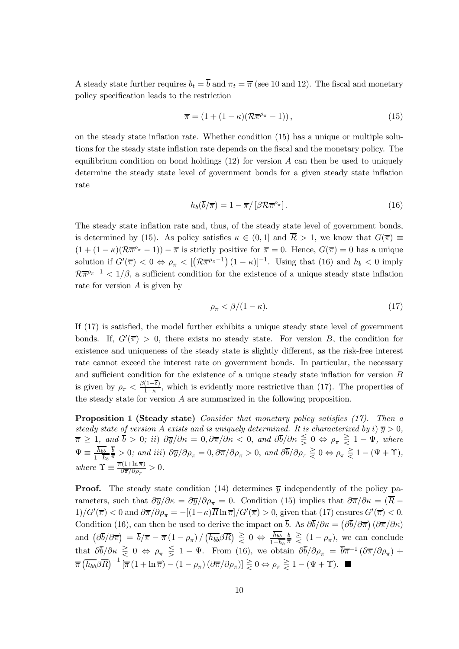A steady state further requires  $b_t = \overline{b}$  and  $\pi_t = \overline{\pi}$  (see 10 and 12). The fiscal and monetary policy specification leads to the restriction

$$
\overline{\pi} = (1 + (1 - \kappa)(\mathcal{R}\overline{\pi}^{\rho_{\pi}} - 1)), \qquad (15)
$$

on the steady state inflation rate. Whether condition (15) has a unique or multiple solutions for the steady state inflation rate depends on the fiscal and the monetary policy. The equilibrium condition on bond holdings  $(12)$  for version A can then be used to uniquely determine the steady state level of government bonds for a given steady state inflation rate

$$
h_b(\overline{b}/\overline{\pi}) = 1 - \overline{\pi}/\left[\beta \mathcal{R}\overline{\pi}^{\rho_{\pi}}\right].\tag{16}
$$

The steady state inflation rate and, thus, of the steady state level of government bonds, is determined by (15). As policy satisfies  $\kappa \in (0,1]$  and  $\overline{R} > 1$ , we know that  $G(\overline{\pi}) \equiv$  $(1 + (1 - \kappa)(\mathcal{R}\overline{\pi}^{\rho_{\pi}} - 1)) - \overline{\pi}$  is strictly positive for  $\overline{\pi} = 0$ . Hence,  $G(\overline{\pi}) = 0$  has a unique solution if  $G'(\overline{\pi}) < 0 \Leftrightarrow \rho_{\pi} < [(\mathcal{R}\overline{\pi}^{\rho_{\pi}-1})(1-\kappa)]^{-1}$ . Using that (16) and  $h_b < 0$  imply  $R\overline{\pi}^{\rho_{\pi}-1}$  < 1/ $\beta$ , a sufficient condition for the existence of a unique steady state inflation rate for version  $A$  is given by

$$
\rho_{\pi} < \beta / (1 - \kappa). \tag{17}
$$

If (17) is satisfied, the model further exhibits a unique steady state level of government bonds. If,  $G'(\overline{\pi}) > 0$ , there exists no steady state. For version B, the condition for existence and uniqueness of the steady state is slightly different, as the risk-free interest rate cannot exceed the interest rate on government bonds. In particular, the necessary and sufficient condition for the existence of a unique steady state inflation for version B is given by  $\rho_{\pi} < \frac{\beta(1-\delta)}{1-\kappa}$ , which is evidently more restrictive than (17). The properties of the steady state for version A are summarized in the following proposition.

Proposition 1 (Steady state) Consider that monetary policy satisfies (17). Then a steady state of version A exists and is uniquely determined. It is characterized by i)  $\overline{y} > 0$ ,  $\overline{\pi} \geq 1$ , and  $b > 0$ ; ii)  $\partial \overline{y}/\partial \kappa = 0$ ,  $\partial \overline{\pi}/\partial \kappa < 0$ , and  $\partial b/\partial \kappa \leq 0 \Leftrightarrow \rho_{\pi} \geq 1 - \Psi$ , where  $\Psi \equiv \frac{h_{bb}}{1-\overline{h}_b}$  $\frac{b}{\overline{\pi}} > 0$ ; and iii)  $\frac{\partial \overline{y}}{\partial \rho_{\pi}} = 0$ ,  $\frac{\partial \overline{\pi}}{\partial \rho_{\pi}} > 0$ , and  $\frac{\partial \overline{b}}{\partial \rho_{\pi}} \geq 0 \Leftrightarrow \rho_{\pi} \geq 1 - (\Psi + \Upsilon)$ , where  $\Upsilon \equiv \frac{\overline{\pi}(1 + \ln \overline{\pi})}{\partial \overline{\pi}/\partial \rho_{\pi}} > 0.$ 

**Proof.** The steady state condition (14) determines  $\overline{y}$  independently of the policy parameters, such that  $\partial \overline{y}/\partial \kappa = \partial \overline{y}/\partial \rho_{\pi} = 0$ . Condition (15) implies that  $\partial \overline{\pi}/\partial \kappa = (\overline{R} - \overline{R})$  $1)/G'(\overline{\pi}) < 0$  and  $\partial \overline{\pi}/\partial \rho_{\pi} = -[(1-\kappa)\overline{R \ln \pi}]/G'(\overline{\pi}) > 0$ , given that (17) ensures  $G'(\overline{\pi}) < 0$ . Condition (16), can then be used to derive the impact on  $\bar{b}$ . As  $\partial \bar{b}/\partial \kappa = (\partial \bar{b}/\partial \bar{\pi}) (\partial \bar{\pi}/\partial \kappa)$ and  $\left(\partial \overline{b}/\partial \overline{\pi}\right) = \overline{b}/\overline{\pi} - \overline{\pi} (1 - \rho_{\pi}) / \left(\overline{h_{bb}} \beta \overline{R}\right) \geq 0 \Leftrightarrow \frac{h_{bb}}{1 - h_b}$  $\frac{b}{\overline{\pi}} \geq (1 - \rho_{\pi}),$  we can conclude that  $\partial \overline{b}/\partial \kappa \geq 0 \Leftrightarrow \rho_{\pi} \leq 1 - \Psi$ . From (16), we obtain  $\partial \overline{b}/\partial \rho_{\pi} = \overline{b} \overline{\pi}^{-1} (\partial \overline{\pi}/\partial \rho_{\pi}) +$  $\overline{\pi} \left( \overline{h_{bb}} \beta \overline{R} \right)^{-1} \left[ \overline{\pi} \left( 1 + \ln \overline{\pi} \right) - \left( 1 - \rho_{\pi} \right) \left( \partial \overline{\pi} / \partial \rho_{\pi} \right) \right] \geq 0 \Leftrightarrow \rho_{\pi} \geq 1 - (\Psi + \Upsilon).$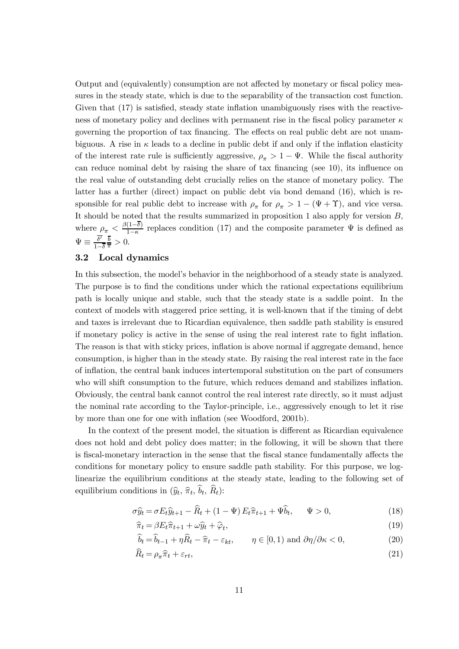Output and (equivalently) consumption are not affected by monetary or fiscal policy measures in the steady state, which is due to the separability of the transaction cost function. Given that (17) is satisfied, steady state inflation unambiguously rises with the reactiveness of monetary policy and declines with permanent rise in the fiscal policy parameter  $\kappa$ governing the proportion of tax financing. The effects on real public debt are not unambiguous. A rise in  $\kappa$  leads to a decline in public debt if and only if the inflation elasticity of the interest rate rule is sufficiently aggressive,  $\rho_{\pi} > 1 - \Psi$ . While the fiscal authority can reduce nominal debt by raising the share of tax financing (see 10), its influence on the real value of outstanding debt crucially relies on the stance of monetary policy. The latter has a further (direct) impact on public debt via bond demand (16), which is responsible for real public debt to increase with  $\rho_{\pi}$  for  $\rho_{\pi} > 1 - (\Psi + \Upsilon)$ , and vice versa. It should be noted that the results summarized in proposition 1 also apply for version B, where  $\rho_{\pi} < \frac{\beta(1-\delta)}{1-\kappa}$  replaces condition (17) and the composite parameter  $\Psi$  is defined as  $\Psi \equiv \frac{\delta'}{1-\overline{\delta}}$  $\frac{b}{\overline{\pi}} > 0.$ 

# 3.2 Local dynamics

In this subsection, the model's behavior in the neighborhood of a steady state is analyzed. The purpose is to find the conditions under which the rational expectations equilibrium path is locally unique and stable, such that the steady state is a saddle point. In the context of models with staggered price setting, it is well-known that if the timing of debt and taxes is irrelevant due to Ricardian equivalence, then saddle path stability is ensured if monetary policy is active in the sense of using the real interest rate to fight inflation. The reason is that with sticky prices, inflation is above normal if aggregate demand, hence consumption, is higher than in the steady state. By raising the real interest rate in the face of inflation, the central bank induces intertemporal substitution on the part of consumers who will shift consumption to the future, which reduces demand and stabilizes inflation. Obviously, the central bank cannot control the real interest rate directly, so it must adjust the nominal rate according to the Taylor-principle, i.e., aggressively enough to let it rise by more than one for one with inflation (see Woodford, 2001b).

In the context of the present model, the situation is different as Ricardian equivalence does not hold and debt policy does matter; in the following, it will be shown that there is fiscal-monetary interaction in the sense that the fiscal stance fundamentally affects the conditions for monetary policy to ensure saddle path stability. For this purpose, we loglinearize the equilibrium conditions at the steady state, leading to the following set of equilibrium conditions in  $(\widehat{y}_t, \widehat{\pi}_t, \widehat{b}_t, \widehat{R}_t)$ :

$$
\sigma \widehat{y}_t = \sigma E_t \widehat{y}_{t+1} - \widehat{R}_t + (1 - \Psi) E_t \widehat{\pi}_{t+1} + \Psi \widehat{b}_t, \quad \Psi > 0,
$$
\n(18)

$$
\widehat{\pi}_t = \beta E_t \widehat{\pi}_{t+1} + \omega \widehat{y}_t + \widehat{\varphi}_t,\tag{19}
$$

$$
b_t = b_{t-1} + \eta R_t - \hat{\pi}_t - \varepsilon_{kt}, \qquad \eta \in [0, 1) \text{ and } \partial \eta / \partial \kappa < 0,\tag{20}
$$

$$
\widehat{R}_t = \rho_\pi \widehat{\pi}_t + \varepsilon_{rt},\tag{21}
$$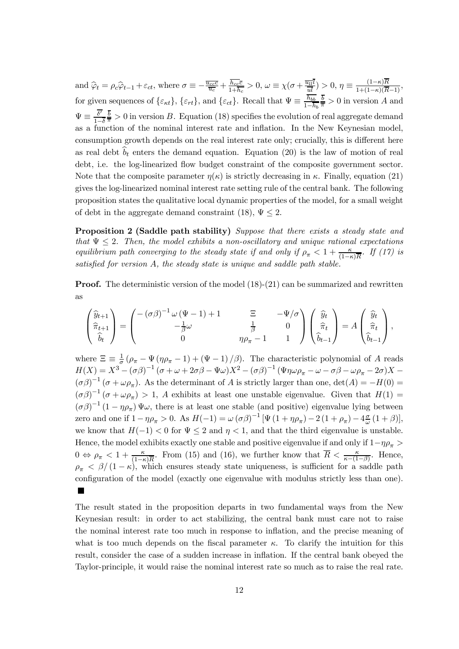and  $\hat{\varphi}_t = \rho_c \hat{\varphi}_{t-1} + \varepsilon_{ct}$ , where  $\sigma \equiv -\frac{\overline{u_{cc}c}}{\overline{u_c}} + \frac{\overline{h_{cc}c}}{1 + \overline{h_c}} > 0$ ,  $\omega \equiv \chi(\sigma + \frac{\overline{u_{ll}}}{\overline{u}}) > 0$ ,  $\eta \equiv \frac{(1 - \kappa)R}{1 + (1 - \kappa)(\overline{R} - 1)}$ , for given sequences of  $\{\varepsilon_{\kappa t}\}, \{\varepsilon_{r t}\},$  and  $\{\varepsilon_{c t}\}.$  Recall that  $\Psi \equiv \frac{h_{b b}}{1-h_b}$  $\frac{b}{\pi} > 0$  in version A and  $\Psi \equiv \frac{\delta'}{1-\overline{\delta}}$  $\frac{\overline{b}}{\overline{\pi}} > 0$  in version B. Equation (18) specifies the evolution of real aggregate demand as a function of the nominal interest rate and inflation. In the New Keynesian model, consumption growth depends on the real interest rate only; crucially, this is different here as real debt  $\hat{b}_t$  enters the demand equation. Equation (20) is the law of motion of real debt, i.e. the log-linearized flow budget constraint of the composite government sector. Note that the composite parameter  $\eta(\kappa)$  is strictly decreasing in  $\kappa$ . Finally, equation (21) gives the log-linearized nominal interest rate setting rule of the central bank. The following proposition states the qualitative local dynamic properties of the model, for a small weight of debt in the aggregate demand constraint (18),  $\Psi \leq 2$ .

Proposition 2 (Saddle path stability) Suppose that there exists a steady state and that  $\Psi \leq 2$ . Then, the model exhibits a non-oscillatory and unique rational expectations equilibrium path converging to the steady state if and only if  $\rho_{\pi} < 1 + \frac{\kappa}{(1-\kappa)\overline{R}}$ . If (17) is satisfied for version A, the steady state is unique and saddle path stable.

**Proof.** The deterministic version of the model  $(18)-(21)$  can be summarized and rewritten as

$$
\begin{pmatrix} \widehat{y}_{t+1} \\ \widehat{\pi}_{t+1} \\ \widehat{b}_t \end{pmatrix} = \begin{pmatrix} -(\sigma\beta)^{-1} \omega (\Psi - 1) + 1 & \Xi & -\Psi/\sigma \\ -\frac{1}{\beta} \omega & \frac{1}{\beta} & 0 \\ 0 & \eta \rho_\pi - 1 & 1 \end{pmatrix} \begin{pmatrix} \widehat{y}_t \\ \widehat{\pi}_t \\ \widehat{b}_{t-1} \end{pmatrix} = A \begin{pmatrix} \widehat{y}_t \\ \widehat{\pi}_t \\ \widehat{b}_{t-1} \end{pmatrix},
$$

where  $\Xi \equiv \frac{1}{\sigma} (\rho_{\pi} - \Psi (\eta \rho_{\pi} - 1) + (\Psi - 1)/\beta)$ . The characteristic polynomial of A reads  $H(X) = X^3 - (\sigma\beta)^{-1}(\sigma + \omega + 2\sigma\beta - \Psi\omega)X^2 - (\sigma\beta)^{-1}(\Psi\eta\omega\rho_\pi - \omega - \sigma\beta - \omega\rho_\pi - 2\sigma)X (\sigma \beta)^{-1}$  ( $\sigma + \omega \rho_{\pi}$ ). As the determinant of A is strictly larger than one, det(A) = -H(0) =  $(\sigma \beta)^{-1}$   $(\sigma + \omega \rho_{\pi}) > 1$ , A exhibits at least one unstable eigenvalue. Given that  $H(1) =$  $(\sigma \beta)^{-1} (1 - \eta \rho_{\pi}) \Psi \omega$ , there is at least one stable (and positive) eigenvalue lying between zero and one if  $1 - \eta \rho_{\pi} > 0$ . As  $H(-1) = \omega (\sigma \beta)^{-1} [\Psi (1 + \eta \rho_{\pi}) - 2 (1 + \rho_{\pi}) - 4 \frac{\sigma}{\omega} (1 + \beta)],$ we know that  $H(-1) < 0$  for  $\Psi \leq 2$  and  $\eta < 1$ , and that the third eigenvalue is unstable. Hence, the model exhibits exactly one stable and positive eigenvalue if and only if  $1-\eta\rho_\pi$  $0 \Leftrightarrow \rho_{\pi} < 1 + \frac{\kappa}{(1-\kappa)R}$ . From (15) and (16), we further know that  $\overline{R} < \frac{\kappa}{\kappa-(1-\beta)}$ . Hence,  $\rho_{\pi} < \beta/(1-\kappa)$ , which ensures steady state uniqueness, is sufficient for a saddle path configuration of the model (exactly one eigenvalue with modulus strictly less than one).

The result stated in the proposition departs in two fundamental ways from the New Keynesian result: in order to act stabilizing, the central bank must care not to raise the nominal interest rate too much in response to inflation, and the precise meaning of what is too much depends on the fiscal parameter  $\kappa$ . To clarify the intuition for this result, consider the case of a sudden increase in inflation. If the central bank obeyed the Taylor-principle, it would raise the nominal interest rate so much as to raise the real rate.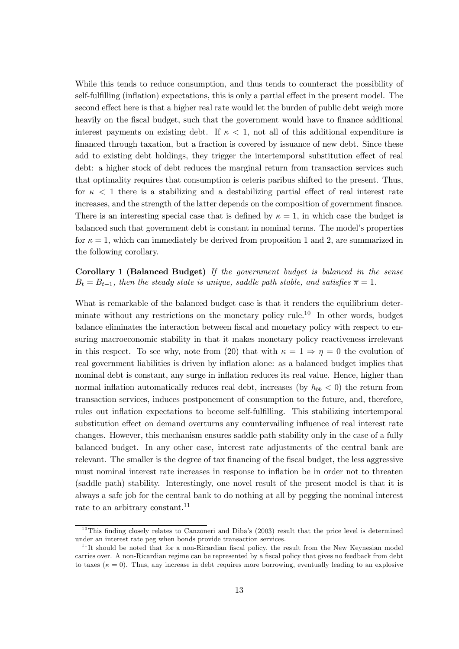While this tends to reduce consumption, and thus tends to counteract the possibility of self-fulfilling (inflation) expectations, this is only a partial effect in the present model. The second effect here is that a higher real rate would let the burden of public debt weigh more heavily on the fiscal budget, such that the government would have to finance additional interest payments on existing debt. If  $\kappa < 1$ , not all of this additional expenditure is financed through taxation, but a fraction is covered by issuance of new debt. Since these add to existing debt holdings, they trigger the intertemporal substitution effect of real debt: a higher stock of debt reduces the marginal return from transaction services such that optimality requires that consumption is ceteris paribus shifted to the present. Thus, for  $\kappa$  < 1 there is a stabilizing and a destabilizing partial effect of real interest rate increases, and the strength of the latter depends on the composition of government finance. There is an interesting special case that is defined by  $\kappa = 1$ , in which case the budget is balanced such that government debt is constant in nominal terms. The model's properties for  $\kappa = 1$ , which can immediately be derived from proposition 1 and 2, are summarized in the following corollary.

Corollary 1 (Balanced Budget) If the government budget is balanced in the sense  $B_t = B_{t-1}$ , then the steady state is unique, saddle path stable, and satisfies  $\overline{\pi} = 1$ .

What is remarkable of the balanced budget case is that it renders the equilibrium determinate without any restrictions on the monetary policy rule.<sup>10</sup> In other words, budget balance eliminates the interaction between fiscal and monetary policy with respect to ensuring macroeconomic stability in that it makes monetary policy reactiveness irrelevant in this respect. To see why, note from (20) that with  $\kappa = 1 \Rightarrow \eta = 0$  the evolution of real government liabilities is driven by inflation alone: as a balanced budget implies that nominal debt is constant, any surge in inflation reduces its real value. Hence, higher than normal inflation automatically reduces real debt, increases (by  $h_{bb} < 0$ ) the return from transaction services, induces postponement of consumption to the future, and, therefore, rules out inflation expectations to become self-fulfilling. This stabilizing intertemporal substitution effect on demand overturns any countervailing influence of real interest rate changes. However, this mechanism ensures saddle path stability only in the case of a fully balanced budget. In any other case, interest rate adjustments of the central bank are relevant. The smaller is the degree of tax financing of the fiscal budget, the less aggressive must nominal interest rate increases in response to inflation be in order not to threaten (saddle path) stability. Interestingly, one novel result of the present model is that it is always a safe job for the central bank to do nothing at all by pegging the nominal interest rate to an arbitrary constant.<sup>11</sup>

 $10$ This finding closely relates to Canzoneri and Diba's (2003) result that the price level is determined under an interest rate peg when bonds provide transaction services.

 $11$ <sup>I</sup>It should be noted that for a non-Ricardian fiscal policy, the result from the New Keynesian model carries over. A non-Ricardian regime can be represented by a fiscal policy that gives no feedback from debt to taxes ( $\kappa = 0$ ). Thus, any increase in debt requires more borrowing, eventually leading to an explosive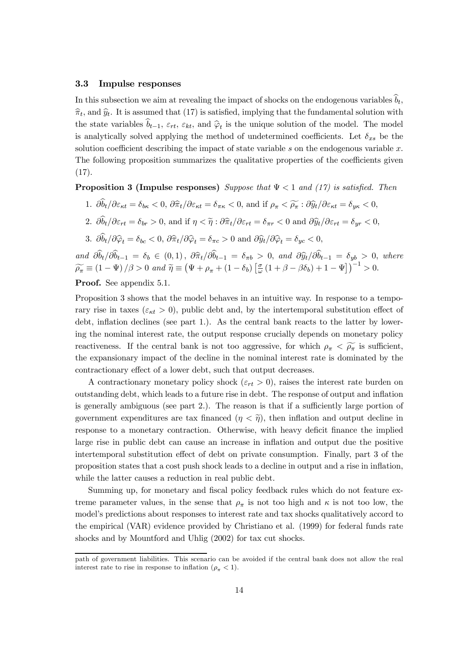#### 3.3 Impulse responses

In this subsection we aim at revealing the impact of shocks on the endogenous variables  $\widehat{b}_t$ ,  $\hat{\pi}_t$ , and  $\hat{y}_t$ . It is assumed that (17) is satisfied, implying that the fundamental solution with the state variables  $\hat{b}_{t-1}$ ,  $\varepsilon_{rt}$ ,  $\varepsilon_{kt}$ , and  $\hat{\varphi}_t$  is the unique solution of the model. The model is analytically solved applying the method of undetermined coefficients. Let  $\delta_{xs}$  be the solution coefficient describing the impact of state variable  $s$  on the endogenous variable  $x$ . The following proposition summarizes the qualitative properties of the coefficients given  $(17).$ 

**Proposition 3 (Impulse responses)** Suppose that  $\Psi < 1$  and (17) is satisfied. Then

1.  $\partial \widehat{b}_t/\partial \varepsilon_{\kappa t} = \delta_{b\kappa} < 0, \, \partial \widehat{\pi}_t/\partial \varepsilon_{\kappa t} = \delta_{\pi \kappa} < 0, \text{ and if } \rho_{\pi} < \widetilde{\rho_{\pi}} : \partial \widehat{y}_t/\partial \varepsilon_{\kappa t} = \delta_{y \kappa} < 0,$ 

2. 
$$
\partial \hat{b}_t / \partial \varepsilon_{rt} = \delta_{br} > 0
$$
, and if  $\eta < \tilde{\eta}$ :  $\partial \hat{\pi}_t / \partial \varepsilon_{rt} = \delta_{\pi r} < 0$  and  $\partial \hat{y}_t / \partial \varepsilon_{rt} = \delta_{yr} < 0$ ,

3.  $\partial \widehat{\theta}_t / \partial \widehat{\varphi}_t = \delta_{bc} < 0$ ,  $\partial \widehat{\pi}_t / \partial \widehat{\varphi}_t = \delta_{\pi c} > 0$  and  $\partial \widehat{y}_t / \partial \widehat{\varphi}_t = \delta_{wc} < 0$ ,

and  $\partial b_t / \partial b_{t-1} = \delta_b \in (0, 1), \ \partial \hat{\pi}_t / \partial b_{t-1} = \delta_{\pi b} > 0, \text{ and } \ \partial \hat{y}_t / \partial b_{t-1} = \delta_{yb} > 0, \text{ where}$  $\widetilde{\rho_{\pi}} \equiv (1 - \Psi)/\beta > 0$  and  $\widetilde{\eta} \equiv (\Psi + \rho_{\pi} + (1 - \delta_b) [\frac{\sigma}{\omega} (1 + \beta - \beta \delta_b) + 1 - \Psi])^{-1} > 0.$ 

# Proof. See appendix 5.1.

Proposition 3 shows that the model behaves in an intuitive way. In response to a temporary rise in taxes ( $\varepsilon_{\kappa t} > 0$ ), public debt and, by the intertemporal substitution effect of debt, inflation declines (see part 1.). As the central bank reacts to the latter by lowering the nominal interest rate, the output response crucially depends on monetary policy reactiveness. If the central bank is not too aggressive, for which  $\rho_{\pi} < \widetilde{\rho_{\pi}}$  is sufficient, the expansionary impact of the decline in the nominal interest rate is dominated by the contractionary effect of a lower debt, such that output decreases.

A contractionary monetary policy shock ( $\varepsilon_{rt} > 0$ ), raises the interest rate burden on outstanding debt, which leads to a future rise in debt. The response of output and inflation is generally ambiguous (see part 2.). The reason is that if a sufficiently large portion of government expenditures are tax financed  $(\eta < \tilde{\eta})$ , then inflation and output decline in response to a monetary contraction. Otherwise, with heavy deficit finance the implied large rise in public debt can cause an increase in inflation and output due the positive intertemporal substitution effect of debt on private consumption. Finally, part 3 of the proposition states that a cost push shock leads to a decline in output and a rise in inflation, while the latter causes a reduction in real public debt.

Summing up, for monetary and fiscal policy feedback rules which do not feature extreme parameter values, in the sense that  $\rho_{\pi}$  is not too high and  $\kappa$  is not too low, the model's predictions about responses to interest rate and tax shocks qualitatively accord to the empirical (VAR) evidence provided by Christiano et al. (1999) for federal funds rate shocks and by Mountford and Uhlig (2002) for tax cut shocks.

path of government liabilities. This scenario can be avoided if the central bank does not allow the real interest rate to rise in response to inflation  $(\rho_{\pi} < 1)$ .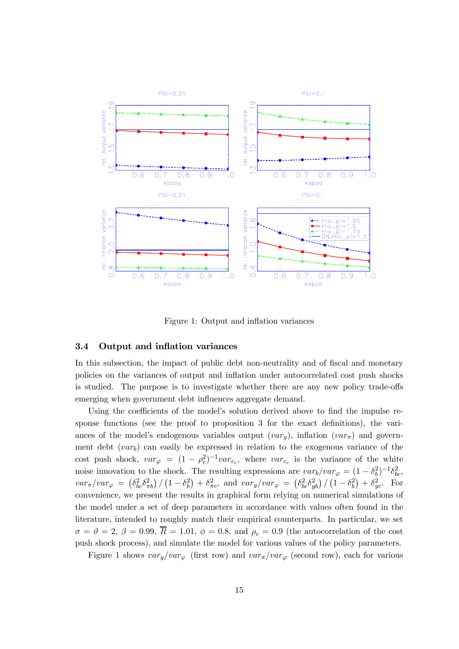

Figure 1: Output and inflation variances

#### 3.4 Output and inflation variances

In this subsection, the impact of public debt non-neutrality and of fiscal and monetary policies on the variances of output and inflation under autocorrelated cost push shocks is studied. The purpose is to investigate whether there are any new policy trade-offs emerging when government debt influences aggregate demand.

Using the coefficients of the model's solution derived above to find the impulse response functions (see the proof to proposition 3 for the exact definitions), the variances of the model's endogenous variables output  $(var<sub>u</sub>)$ , inflation  $(var<sub>\pi</sub>)$  and government debt  $(var_b)$  can easily be expressed in relation to the exogenous variance of the cost push shock,  $var_\varphi = (1 - \rho_c^2)^{-1} var_{\varepsilon_c}$ , where  $var_{\varepsilon_c}$  is the variance of the white noise innovation to the shock. The resulting expressions are  $var_b/var_\varphi = (1 - \delta_b^2)^{-1} \delta_{bc}^2$ ,  $var_{\pi}/var_{\varphi} = \left(\delta_{bc}^2 \delta_{\pi b}^2\right) / \left(1 - \delta_b^2\right) + \delta_{\pi c}^2$ , and  $var_y/var_{\varphi} = \left(\delta_{bc}^2 \delta_{yb}^2\right) / \left(1 - \delta_b^2\right) + \delta_{yc}^2$ . For convenience, we present the results in graphical form relying on numerical simulations of the model under a set of deep parameters in accordance with values often found in the literature, intended to roughly match their empirical counterparts. In particular, we set  $\sigma = \vartheta = 2, \beta = 0.99, \overline{R} = 1.01, \phi = 0.8, \text{ and } \rho_c = 0.9$  (the autocorrelation of the cost push shock process), and simulate the model for various values of the policy parameters.

Figure 1 shows  $var_y/var_\varphi$  (first row) and  $var_\pi/var_\varphi$  (second row), each for various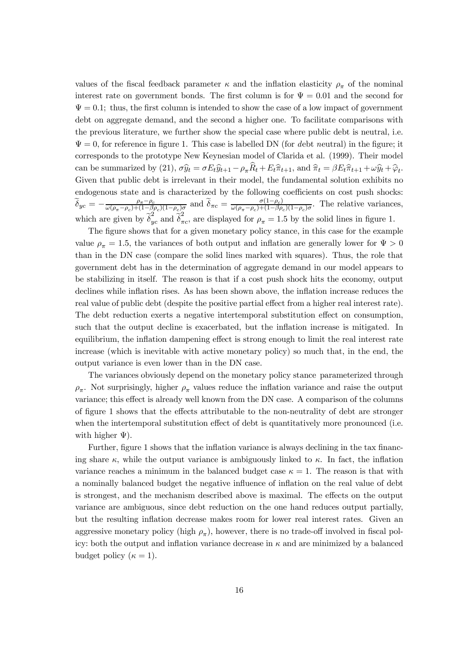values of the fiscal feedback parameter  $\kappa$  and the inflation elasticity  $\rho_{\pi}$  of the nominal interest rate on government bonds. The first column is for  $\Psi = 0.01$  and the second for  $\Psi = 0.1$ ; thus, the first column is intended to show the case of a low impact of government debt on aggregate demand, and the second a higher one. To facilitate comparisons with the previous literature, we further show the special case where public debt is neutral, i.e.  $\Psi = 0$ , for reference in figure 1. This case is labelled DN (for debt neutral) in the figure; it corresponds to the prototype New Keynesian model of Clarida et al. (1999). Their model can be summarized by (21),  $\sigma \hat{y}_t = \sigma E_t \hat{y}_{t+1} - \rho_\pi \hat{R}_t + E_t \hat{\pi}_{t+1}$ , and  $\hat{\pi}_t = \beta E_t \hat{\pi}_{t+1} + \omega \hat{y}_t + \hat{\varphi}_t$ . Given that public debt is irrelevant in their model, the fundamental solution exhibits no endogenous state and is characterized by the following coefficients on cost push shocks:  $\widetilde{\delta}_{yc} = -\frac{\rho_{\pi}-\rho_c}{\omega(\rho_{\pi}-\rho_c)+(1-\beta\rho_c)(1-\rho_c)\sigma}$  and  $\widetilde{\delta}_{\pi c} = \frac{\sigma(1-\rho_c)}{\omega(\rho_{\pi}-\rho_c)+(1-\beta\rho_c)(1-\rho_c)\sigma}$ . The relative variances, which are given by  $\tilde{\delta}_{yc}^2$  and  $\tilde{\delta}_{\pi c}^2$ , are displayed for  $\rho_{\pi} = 1.5$  by the solid lines in figure 1.

The figure shows that for a given monetary policy stance, in this case for the example value  $\rho_{\pi} = 1.5$ , the variances of both output and inflation are generally lower for  $\Psi > 0$ than in the DN case (compare the solid lines marked with squares). Thus, the role that government debt has in the determination of aggregate demand in our model appears to be stabilizing in itself. The reason is that if a cost push shock hits the economy, output declines while inflation rises. As has been shown above, the inflation increase reduces the real value of public debt (despite the positive partial effect from a higher real interest rate). The debt reduction exerts a negative intertemporal substitution effect on consumption, such that the output decline is exacerbated, but the inflation increase is mitigated. In equilibrium, the inflation dampening effect is strong enough to limit the real interest rate increase (which is inevitable with active monetary policy) so much that, in the end, the output variance is even lower than in the DN case.

The variances obviously depend on the monetary policy stance parameterized through  $\rho_{\pi}$ . Not surprisingly, higher  $\rho_{\pi}$  values reduce the inflation variance and raise the output variance; this effect is already well known from the DN case. A comparison of the columns of figure 1 shows that the effects attributable to the non-neutrality of debt are stronger when the intertemporal substitution effect of debt is quantitatively more pronounced (i.e. with higher  $\Psi$ ).

Further, figure 1 shows that the inflation variance is always declining in the tax financing share  $\kappa$ , while the output variance is ambiguously linked to  $\kappa$ . In fact, the inflation variance reaches a minimum in the balanced budget case  $\kappa = 1$ . The reason is that with a nominally balanced budget the negative influence of inflation on the real value of debt is strongest, and the mechanism described above is maximal. The effects on the output variance are ambiguous, since debt reduction on the one hand reduces output partially, but the resulting inflation decrease makes room for lower real interest rates. Given an aggressive monetary policy (high  $\rho_{\pi}$ ), however, there is no trade-off involved in fiscal policy: both the output and inflation variance decrease in  $\kappa$  and are minimized by a balanced budget policy  $(\kappa = 1)$ .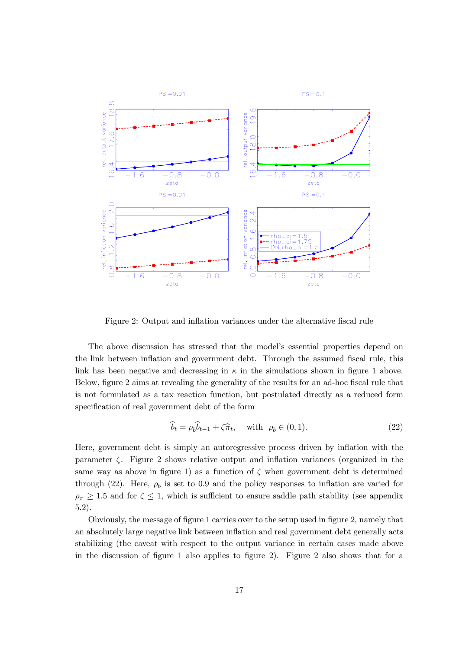

Figure 2: Output and inflation variances under the alternative fiscal rule

The above discussion has stressed that the model's essential properties depend on the link between inflation and government debt. Through the assumed fiscal rule, this link has been negative and decreasing in  $\kappa$  in the simulations shown in figure 1 above. Below, figure 2 aims at revealing the generality of the results for an ad-hoc fiscal rule that is not formulated as a tax reaction function, but postulated directly as a reduced form specification of real government debt of the form

$$
\widehat{b}_t = \rho_b \widehat{b}_{t-1} + \zeta \widehat{\pi}_t, \quad \text{with } \rho_b \in (0, 1). \tag{22}
$$

Here, government debt is simply an autoregressive process driven by inflation with the parameter  $\zeta$ . Figure 2 shows relative output and inflation variances (organized in the same way as above in figure 1) as a function of  $\zeta$  when government debt is determined through (22). Here,  $\rho_b$  is set to 0.9 and the policy responses to inflation are varied for  $\rho_{\pi} \geq 1.5$  and for  $\zeta \leq 1$ , which is sufficient to ensure saddle path stability (see appendix 5.2).

Obviously, the message of figure 1 carries over to the setup used in figure 2, namely that an absolutely large negative link between inflation and real government debt generally acts stabilizing (the caveat with respect to the output variance in certain cases made above in the discussion of figure 1 also applies to figure 2). Figure 2 also shows that for a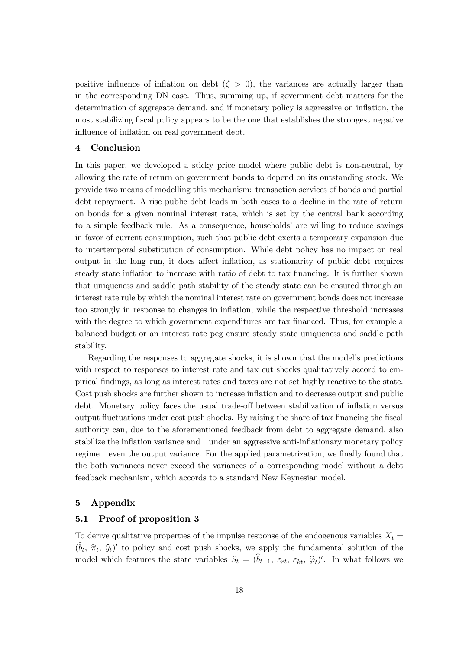positive influence of inflation on debt  $(\zeta > 0)$ , the variances are actually larger than in the corresponding DN case. Thus, summing up, if government debt matters for the determination of aggregate demand, and if monetary policy is aggressive on inflation, the most stabilizing fiscal policy appears to be the one that establishes the strongest negative influence of inflation on real government debt.

# 4 Conclusion

In this paper, we developed a sticky price model where public debt is non-neutral, by allowing the rate of return on government bonds to depend on its outstanding stock. We provide two means of modelling this mechanism: transaction services of bonds and partial debt repayment. A rise public debt leads in both cases to a decline in the rate of return on bonds for a given nominal interest rate, which is set by the central bank according to a simple feedback rule. As a consequence, households' are willing to reduce savings in favor of current consumption, such that public debt exerts a temporary expansion due to intertemporal substitution of consumption. While debt policy has no impact on real output in the long run, it does affect inflation, as stationarity of public debt requires steady state inflation to increase with ratio of debt to tax financing. It is further shown that uniqueness and saddle path stability of the steady state can be ensured through an interest rate rule by which the nominal interest rate on government bonds does not increase too strongly in response to changes in inflation, while the respective threshold increases with the degree to which government expenditures are tax financed. Thus, for example a balanced budget or an interest rate peg ensure steady state uniqueness and saddle path stability.

Regarding the responses to aggregate shocks, it is shown that the model's predictions with respect to responses to interest rate and tax cut shocks qualitatively accord to empirical findings, as long as interest rates and taxes are not set highly reactive to the state. Cost push shocks are further shown to increase inflation and to decrease output and public debt. Monetary policy faces the usual trade-off between stabilization of inflation versus output fluctuations under cost push shocks. By raising the share of tax financing the fiscal authority can, due to the aforementioned feedback from debt to aggregate demand, also stabilize the inflation variance and — under an aggressive anti-inflationary monetary policy regime — even the output variance. For the applied parametrization, we finally found that the both variances never exceed the variances of a corresponding model without a debt feedback mechanism, which accords to a standard New Keynesian model.

## 5 Appendix

## 5.1 Proof of proposition 3

To derive qualitative properties of the impulse response of the endogenous variables  $X_t =$  $(\hat{b}_t, \hat{\pi}_t, \hat{y}_t)$  to policy and cost push shocks, we apply the fundamental solution of the model which features the state variables  $S_t = (b_{t-1}, \varepsilon_{rt}, \varepsilon_{kt}, \hat{\varphi}_t)'$ . In what follows we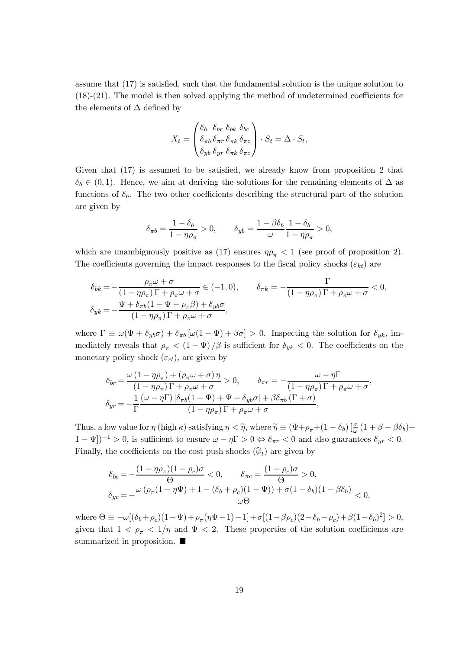assume that (17) is satisfied, such that the fundamental solution is the unique solution to (18)-(21). The model is then solved applying the method of undetermined coefficients for the elements of  $\Delta$  defined by

$$
X_t = \begin{pmatrix} \delta_b & \delta_{br} & \delta_{bk} & \delta_{bc} \\ \delta_{\pi b} & \delta_{\pi r} & \delta_{\pi k} & \delta_{\pi c} \\ \delta_{yb} & \delta_{yr} & \delta_{\pi k} & \delta_{\pi c} \end{pmatrix} \cdot S_t = \Delta \cdot S_t,
$$

Given that (17) is assumed to be satisfied, we already know from proposition 2 that  $\delta_b \in (0,1)$ . Hence, we aim at deriving the solutions for the remaining elements of  $\Delta$  as functions of  $\delta_b$ . The two other coefficients describing the structural part of the solution are given by

$$
\delta_{\pi b} = \frac{1 - \delta_b}{1 - \eta \rho_{\pi}} > 0, \qquad \delta_{yb} = \frac{1 - \beta \delta_b}{\omega} \frac{1 - \delta_b}{1 - \eta \rho_{\pi}} > 0,
$$

which are unambiguously positive as (17) ensures  $\eta \rho_{\pi} < 1$  (see proof of proposition 2). The coefficients governing the impact responses to the fiscal policy shocks  $(\varepsilon_{kt})$  are

$$
\delta_{bk} = -\frac{\rho_{\pi}\omega + \sigma}{(1 - \eta\rho_{\pi})\Gamma + \rho_{\pi}\omega + \sigma} \in (-1, 0), \qquad \delta_{\pi k} = -\frac{\Gamma}{(1 - \eta\rho_{\pi})\Gamma + \rho_{\pi}\omega + \sigma} < 0,
$$
  

$$
\delta_{yk} = -\frac{\Psi + \delta_{\pi b}(1 - \Psi - \rho_{\pi}\beta) + \delta_{yb}\sigma}{(1 - \eta\rho_{\pi})\Gamma + \rho_{\pi}\omega + \sigma},
$$

where  $\Gamma \equiv \omega(\Psi + \delta_{\psi} \sigma) + \delta_{\pi b} [\omega(1 - \Psi) + \beta \sigma] > 0$ . Inspecting the solution for  $\delta_{\psi k}$ , immediately reveals that  $\rho_{\pi} < (1 - \Psi)/\beta$  is sufficient for  $\delta_{yk} < 0$ . The coefficients on the monetary policy shock  $(\varepsilon_{rt})$ , are given by

$$
\delta_{br} = \frac{\omega (1 - \eta \rho_{\pi}) + (\rho_{\pi} \omega + \sigma) \eta}{(1 - \eta \rho_{\pi}) \Gamma + \rho_{\pi} \omega + \sigma} > 0, \qquad \delta_{\pi r} = -\frac{\omega - \eta \Gamma}{(1 - \eta \rho_{\pi}) \Gamma + \rho_{\pi} \omega + \sigma},
$$

$$
\delta_{yr} = -\frac{1}{\Gamma} \frac{(\omega - \eta \Gamma) [\delta_{\pi b} (1 - \Psi) + \Psi + \delta_{yb} \sigma] + \beta \delta_{\pi b} (\Gamma + \sigma)}{(1 - \eta \rho_{\pi}) \Gamma + \rho_{\pi} \omega + \sigma},
$$

Thus, a low value for  $\eta$  (high  $\kappa$ ) satisfying  $\eta < \widetilde{\eta}$ , where  $\widetilde{\eta} \equiv (\Psi + \rho_{\pi} + (1 - \delta_b) \left[ \frac{\sigma}{\omega} (1 + \beta - \beta \delta_b) + \frac{\sigma}{\omega} (1 + \beta \delta_b) \right]$  $(1 - \Psi$ ]<sup>-1</sup> > 0, is sufficient to ensure  $ω - η\Gamma > 0$  ⇔  $δ_{πr} < 0$  and also guarantees  $δ_{yr} < 0$ . Finally, the coefficients on the cost push shocks  $(\hat{\varphi}_t)$  are given by

$$
\delta_{bc} = -\frac{(1 - \eta \rho_{\pi})(1 - \rho_c)\sigma}{\Theta} < 0, \qquad \delta_{\pi c} = \frac{(1 - \rho_c)\sigma}{\Theta} > 0,
$$
  

$$
\delta_{yc} = -\frac{\omega(\rho_{\pi}(1 - \eta\Psi) + 1 - (\delta_b + \rho_c)(1 - \Psi)) + \sigma(1 - \delta_b)(1 - \beta\delta_b)}{\omega\Theta} < 0,
$$

where  $\Theta \equiv -\omega[(\delta_b+\rho_c)(1-\Psi)+\rho_{\pi}(\eta\Psi-1)-1]+\sigma[(1-\beta\rho_c)(2-\delta_b-\rho_c)+\beta(1-\delta_b)^2]>0,$ given that  $1 < \rho_{\pi} < 1/\eta$  and  $\Psi < 2$ . These properties of the solution coefficients are summarized in proposition.  $\blacksquare$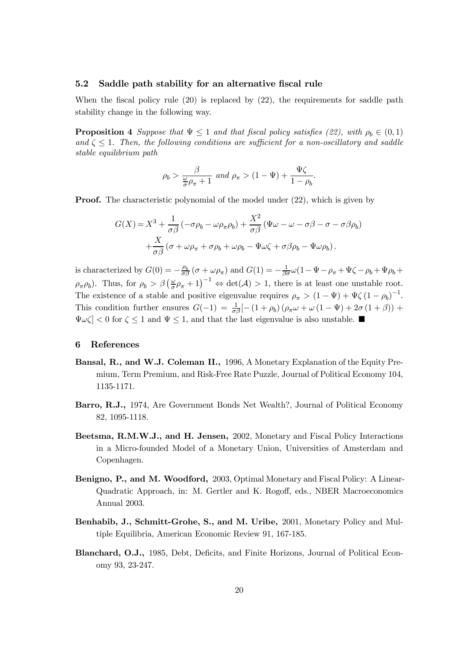#### 5.2 Saddle path stability for an alternative fiscal rule

When the fiscal policy rule  $(20)$  is replaced by  $(22)$ , the requirements for saddle path stability change in the following way.

**Proposition 4** Suppose that  $\Psi \leq 1$  and that fiscal policy satisfies (22), with  $\rho_b \in (0,1)$ and  $\zeta \leq 1$ . Then, the following conditions are sufficient for a non-oscillatory and saddle stable equilibrium path

$$
\rho_b > \frac{\beta}{\frac{\omega}{\sigma}\rho_{\pi} + 1}
$$
 and  $\rho_{\pi} > (1 - \Psi) + \frac{\Psi\zeta}{1 - \rho_b}$ 

.

**Proof.** The characteristic polynomial of the model under  $(22)$ , which is given by

$$
G(X) = X^3 + \frac{1}{\sigma \beta} \left( -\sigma \rho_b - \omega \rho_\pi \rho_b \right) + \frac{X^2}{\sigma \beta} \left( \Psi \omega - \omega - \sigma \beta - \sigma - \sigma \beta \rho_b \right) + \frac{X}{\sigma \beta} \left( \sigma + \omega \rho_\pi + \sigma \rho_b + \omega \rho_b - \Psi \omega \zeta + \sigma \beta \rho_b - \Psi \omega \rho_b \right).
$$

is characterized by  $G(0) = -\frac{\rho_b}{\sigma \beta} (\sigma + \omega \rho_{\pi})$  and  $G(1) = -\frac{1}{\beta \sigma} \omega (1 - \Psi - \rho_{\pi} + \Psi \zeta - \rho_b + \Psi \rho_b + \Psi \zeta)$  $\rho_{\pi}\rho_b$ ). Thus, for  $\rho_b > \beta \left(\frac{\omega}{\sigma}\rho_{\pi}+1\right)^{-1} \Leftrightarrow \det(\mathcal{A}) > 1$ , there is at least one unstable root. The existence of a stable and positive eigenvalue requires  $\rho_{\pi} > (1 - \Psi) + \Psi \zeta (1 - \rho_b)^{-1}$ . This condition further ensures  $G(-1) = \frac{1}{\sigma \beta} [-(1 + \rho_b) (\rho_{\pi} \omega + \omega (1 - \Psi) + 2\sigma (1 + \beta)) +$  $\Psi \omega \zeta$  < 0 for  $\zeta \leq 1$  and  $\Psi \leq 1$ , and that the last eigenvalue is also unstable.

#### 6 References

- Bansal, R., and W.J. Coleman II., 1996, A Monetary Explanation of the Equity Premium, Term Premium, and Risk-Free Rate Puzzle, Journal of Political Economy 104, 1135-1171.
- Barro, R.J., 1974, Are Government Bonds Net Wealth?, Journal of Political Economy 82, 1095-1118.
- Beetsma, R.M.W.J., and H. Jensen, 2002, Monetary and Fiscal Policy Interactions in a Micro-founded Model of a Monetary Union, Universities of Amsterdam and Copenhagen.
- Benigno, P., and M. Woodford, 2003, Optimal Monetary and Fiscal Policy: A Linear-Quadratic Approach, in: M. Gertler and K. Rogoff, eds., NBER Macroeconomics Annual 2003.
- Benhabib, J., Schmitt-Grohe, S., and M. Uribe, 2001, Monetary Policy and Multiple Equilibria, American Economic Review 91, 167-185.
- Blanchard, O.J., 1985, Debt, Deficits, and Finite Horizons, Journal of Political Economy 93, 23-247.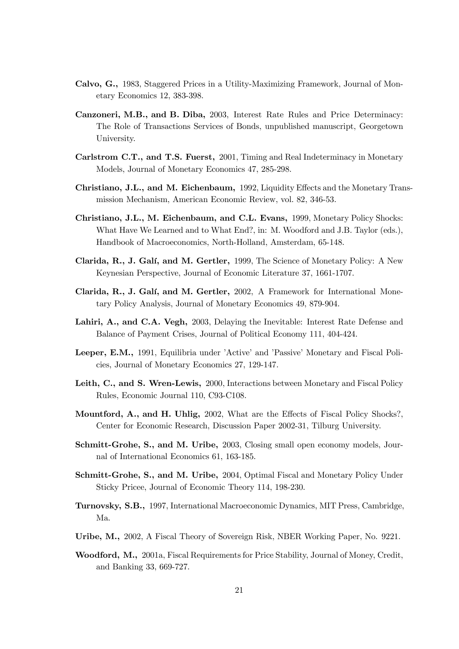- Calvo, G., 1983, Staggered Prices in a Utility-Maximizing Framework, Journal of Monetary Economics 12, 383-398.
- Canzoneri, M.B., and B. Diba, 2003, Interest Rate Rules and Price Determinacy: The Role of Transactions Services of Bonds, unpublished manuscript, Georgetown University.
- Carlstrom C.T., and T.S. Fuerst, 2001, Timing and Real Indeterminacy in Monetary Models, Journal of Monetary Economics 47, 285-298.
- Christiano, J.L., and M. Eichenbaum, 1992, Liquidity Effects and the Monetary Transmission Mechanism, American Economic Review, vol. 82, 346-53.
- Christiano, J.L., M. Eichenbaum, and C.L. Evans, 1999, Monetary Policy Shocks: What Have We Learned and to What End?, in: M. Woodford and J.B. Taylor (eds.), Handbook of Macroeconomics, North-Holland, Amsterdam, 65-148.
- Clarida, R., J. Galí, and M. Gertler, 1999, The Science of Monetary Policy: A New Keynesian Perspective, Journal of Economic Literature 37, 1661-1707.
- Clarida, R., J. Galí, and M. Gertler, 2002, A Framework for International Monetary Policy Analysis, Journal of Monetary Economics 49, 879-904.
- Lahiri, A., and C.A. Vegh, 2003, Delaying the Inevitable: Interest Rate Defense and Balance of Payment Crises, Journal of Political Economy 111, 404-424.
- Leeper, E.M., 1991, Equilibria under 'Active' and 'Passive' Monetary and Fiscal Policies, Journal of Monetary Economics 27, 129-147.
- Leith, C., and S. Wren-Lewis, 2000, Interactions between Monetary and Fiscal Policy Rules, Economic Journal 110, C93-C108.
- Mountford, A., and H. Uhlig, 2002, What are the Effects of Fiscal Policy Shocks?, Center for Economic Research, Discussion Paper 2002-31, Tilburg University.
- Schmitt-Grohe, S., and M. Uribe, 2003, Closing small open economy models, Journal of International Economics 61, 163-185.
- Schmitt-Grohe, S., and M. Uribe, 2004, Optimal Fiscal and Monetary Policy Under Sticky Pricee, Journal of Economic Theory 114, 198-230.
- Turnovsky, S.B., 1997, International Macroeconomic Dynamics, MIT Press, Cambridge, Ma.
- Uribe, M., 2002, A Fiscal Theory of Sovereign Risk, NBER Working Paper, No. 9221.
- Woodford, M., 2001a, Fiscal Requirements for Price Stability, Journal of Money, Credit, and Banking 33, 669-727.